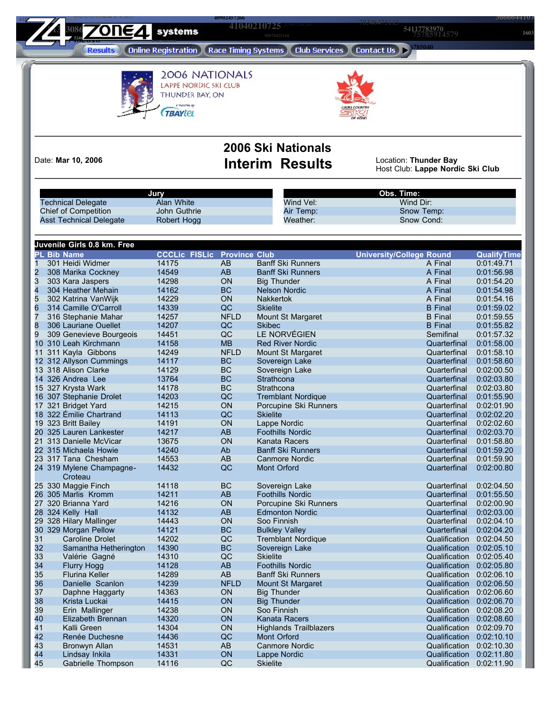**110+0210725 1603**<br> **1603**<br> **1603**<br> **1603**<br> **1603** 

**06886859291 06304796451**

**41040210725 8386 <b>1266245788 91383266 78846475115 54117783970 638625486 7011624 6386276 7011624 6386276 7011624 641040210725 83862514579 64117783970 8246 826670425168 824670425168 824670425168** 

<br>**pline Registration 1, Race Timing Sustans 1, Club Services 1, Contact IIs 1, 2020 Results** 

**<sup>32194626000</sup>**



2006 NATIONALS LAPPE NORDIC SKI CLUB THUNDER BAY, ON Presented by: **TBAYLEL** 



625<sup>2</sup>

ر<br>مو**ويل 11 مي** 

## **2006 Ski Nationals** Date: Mar 10, 2006 **Interim Results**

Location: Thunder Bay<br>Host Club: Lappe Nordic Ski Club

**<sup>50001381218</sup>**

|                                      | Jury                 |                      | Obs. Time:                    |                                 |                    |
|--------------------------------------|----------------------|----------------------|-------------------------------|---------------------------------|--------------------|
| <b>Technical Delegate</b>            | Alan White           |                      | Wind Vel:                     | Wind Dir:                       |                    |
| <b>Chief of Competition</b>          | John Guthrie         |                      | Air Temp:                     | Snow Temp:                      |                    |
| <b>Asst Technical Delegate</b>       | Robert Hogg          |                      | Weather:                      | Snow Cond:                      |                    |
|                                      |                      |                      |                               |                                 |                    |
| Juvenile Girls 0.8 km. Free          |                      |                      |                               |                                 |                    |
| <b>PL Bib Name</b>                   | <b>CCCLic FISLic</b> | <b>Province Club</b> |                               | <b>University/College Round</b> | <b>QualifyTime</b> |
| 1<br>301 Heidi Widmer                | 14175                | AB                   | <b>Banff Ski Runners</b>      | A Final                         | 0:01:49.71         |
| $\overline{c}$<br>308 Marika Cockney | 14549                | AB                   | <b>Banff Ski Runners</b>      | A Final                         | 0:01:56.98         |
| 3<br>303 Kara Jaspers<br>4           | 14298                | ON                   | <b>Big Thunder</b>            | A Final                         | 0:01:54.20         |
| 304 Heather Mehain                   | 14162                | <b>BC</b>            | <b>Nelson Nordic</b>          | A Final                         | 0:01:54.98         |
| 5<br>302 Katrina VanWijk             | 14229                | ON                   | <b>Nakkertok</b>              | A Final                         | 0:01:54.16         |
| 6<br>314 Camille O'Carroll           | 14339                | QC                   | <b>Skielite</b>               | <b>B</b> Final                  | 0:01:59.02         |
| 7<br>316 Stephanie Mahar             | 14257                | <b>NFLD</b>          | Mount St Margaret             | <b>B</b> Final                  | 0:01:59.55         |
| 8<br>306 Lauriane Ouellet            | 14207                | QC                   | <b>Skibec</b>                 | <b>B</b> Final                  | 0:01:55.82         |
| 9<br>309 Genevieve Bourgeois         | 14451                | QC                   | LE NORVÉGIEN                  | Semifinal                       | 0:01:57.32         |
| 10 310 Leah Kirchmann                | 14158                | <b>MB</b>            | <b>Red River Nordic</b>       | Quarterfinal                    | 0:01:58.00         |
| 11 311 Kayla Gibbons                 | 14249                | <b>NFLD</b>          | Mount St Margaret             | Quarterfinal                    | 0:01:58.10         |
| 12 312 Allyson Cummings              | 14117                | <b>BC</b>            | Sovereign Lake                | Quarterfinal                    | 0:01:58.60         |
| 13 318 Alison Clarke                 | 14129                | BC                   | Sovereign Lake                | Quarterfinal                    | 0:02:00.50         |
| 14 326 Andrea Lee                    | 13764                | <b>BC</b>            | Strathcona                    | Quarterfinal                    | 0:02:03.80         |
| 15 327 Krysta Wark                   | 14178                | BC                   | Strathcona                    | Quarterfinal                    | 0:02:03.80         |
| 16 307 Stephanie Drolet              | 14203                | QC                   | <b>Tremblant Nordique</b>     | Quarterfinal                    | 0:01:55.90         |
| 17 321 Bridget Yard                  | 14215                | ON                   | Porcupine Ski Runners         | Quarterfinal                    | 0:02:01.90         |
| 18 322 Émilie Chartrand              | 14113                | QC                   | <b>Skielite</b>               | Quarterfinal                    | 0:02:02.20         |
| 19 323 Britt Bailey                  | 14191                | ON                   | Lappe Nordic                  | Quarterfinal                    | 0:02:02.60         |
| 20 325 Lauren Lankester              | 14217                | AB                   | <b>Foothills Nordic</b>       | Quarterfinal                    | 0:02:03.70         |
| 21 313 Danielle McVicar              | 13675                | ON                   | Kanata Racers                 | Quarterfinal                    | 0:01:58.80         |
| 22 315 Michaela Howie                | 14240                | Ab                   | <b>Banff Ski Runners</b>      | Quarterfinal                    | 0:01:59.20         |
| 23 317 Tana Chesham                  | 14553                | AB                   | <b>Canmore Nordic</b>         | Quarterfinal                    | 0:01:59.90         |
| 24 319 Mylene Champagne-<br>Croteau  | 14432                | QC                   | Mont Orford                   | Quarterfinal                    | 0:02:00.80         |
| 25 330 Maggie Finch                  | 14118                | BC                   | Sovereign Lake                | Quarterfinal                    | 0:02:04.50         |
| 26 305 Marlis Kromm                  | 14211                | AB                   | <b>Foothills Nordic</b>       | Quarterfinal                    | 0:01:55.50         |
| 27 320 Brianna Yard                  | 14216                | ON                   | Porcupine Ski Runners         | Quarterfinal                    | 0:02:00.90         |
| 28 324 Kelly Hall                    | 14132                | AB                   | <b>Edmonton Nordic</b>        | Quarterfinal                    | 0:02:03.00         |
| 29 328 Hilary Mallinger              | 14443                | ON                   | Soo Finnish                   | Quarterfinal                    | 0:02:04.10         |
| 30 329 Morgan Pellow                 | 14121                | <b>BC</b>            | <b>Bulkley Valley</b>         | Quarterfinal                    | 0:02:04.20         |
| 31<br>Caroline Drolet                | 14202                | QC                   | <b>Tremblant Nordique</b>     | Qualification                   | 0:02:04.50         |
| 32<br>Samantha Hetherington          | 14390                | <b>BC</b>            | Sovereign Lake                | Qualification                   | 0:02:05.10         |
| 33<br>Valérie Gagné                  | 14310                | QC                   | <b>Skielite</b>               | Qualification                   | 0:02:05.40         |
| 34<br><b>Flurry Hogg</b>             | 14128                | <b>AB</b>            | <b>Foothills Nordic</b>       | Qualification                   | 0:02:05.80         |
| 35<br><b>Flurina Keller</b>          | 14289                | <b>AB</b>            | <b>Banff Ski Runners</b>      | Qualification                   | 0:02:06.10         |
| 36<br>Danielle Scanlon               | 14239                | <b>NFLD</b>          | <b>Mount St Margaret</b>      | Qualification 0:02:06.50        |                    |
| 37<br>Daphne Haggarty                | 14363                | ON                   | <b>Big Thunder</b>            | Qualification 0:02:06.60        |                    |
| 38<br>Krista Luckai                  | 14415                | ON                   | <b>Big Thunder</b>            | Qualification 0:02:06.70        |                    |
| 39<br>Erin Mallinger                 | 14238                | ON                   | Soo Finnish                   | Qualification                   | 0:02:08.20         |
| 40<br>Elizabeth Brennan              | 14320                | ON                   | Kanata Racers                 | Qualification                   | 0:02:08.60         |
| 41<br>Kalli Green                    | 14304                | ON                   | <b>Highlands Trailblazers</b> | Qualification 0:02:09.70        |                    |
| 42<br>Renée Duchesne                 | 14436                | QC                   | Mont Orford                   | Qualification                   | 0:02:10.10         |
| 43<br>Bronwyn Allan                  | 14531                | AB                   | <b>Canmore Nordic</b>         | Qualification 0:02:10.30        |                    |
| 44<br>Lindsay Inkila                 | 14331                | ON                   | Lappe Nordic                  | Qualification                   | 0:02:11.80         |
| Gabrielle Thompson<br>45             | 14116                | QC                   | <b>Skielite</b>               | Qualification 0:02:11.90        |                    |
|                                      |                      |                      |                               |                                 |                    |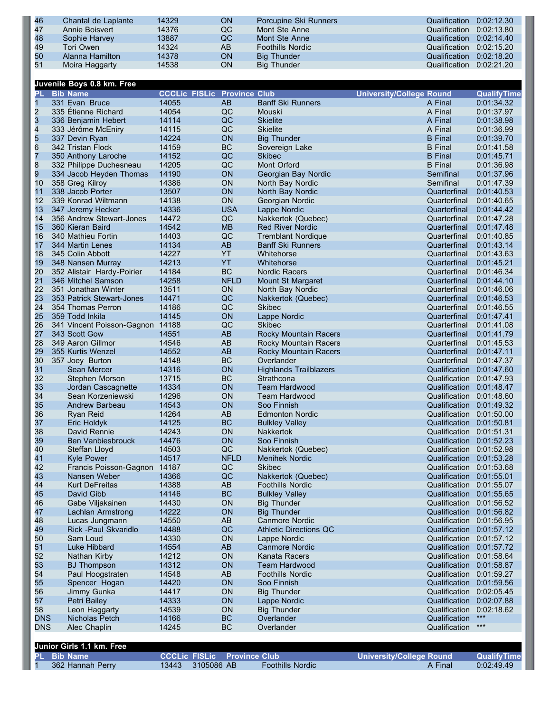| 46 | Chantal de Laplante | 14329 | <b>ON</b> | Porcupine Ski Runners   | Qualification 0:02:12.30 |  |
|----|---------------------|-------|-----------|-------------------------|--------------------------|--|
| 47 | Annie Boisvert      | 14376 | QC.       | Mont Ste Anne           | Qualification 0:02:13.80 |  |
| 48 | Sophie Harvey       | 13887 | QC        | Mont Ste Anne           | Qualification 0:02:14.40 |  |
| 49 | Tori Owen           | 14324 | AB        | <b>Foothills Nordic</b> | Qualification 0:02:15.20 |  |
| 50 | Alanna Hamilton     | 14378 | <b>ON</b> | <b>Big Thunder</b>      | Qualification 0:02:18.20 |  |
| 51 | Moira Haggarty      | 14538 | <b>ON</b> | <b>Big Thunder</b>      | Qualification 0:02:21.20 |  |

|                | Juvenile Boys 0.8 km. Free       |                                    |             |                               |                                 |                     |
|----------------|----------------------------------|------------------------------------|-------------|-------------------------------|---------------------------------|---------------------|
| PL             | <b>Bib Name</b>                  | <b>CCCLic FISLic Province Club</b> |             |                               | <b>University/College Round</b> | <b>QualifyTime</b>  |
| 1              | 331 Evan Bruce                   | 14055                              | AB          | <b>Banff Ski Runners</b>      | A Final                         | 0:01:34.32          |
| $\overline{c}$ | 335 Étienne Richard              | 14054                              | QC          | Mouski                        | A Final                         | 0:01:37.97          |
| $\frac{3}{4}$  | 336 Benjamin Hebert              | 14114                              | QC          | <b>Skielite</b>               | A Final                         | 0:01:38.98          |
|                | 333 Jérôme McEniry               | 14115                              | QC          | <b>Skielite</b>               | A Final                         | 0:01:36.99          |
| 5              | 337 Devin Ryan                   | 14224                              | ON          | <b>Big Thunder</b>            | <b>B</b> Final                  | 0:01:39.70          |
| 6              | 342 Tristan Flock                | 14159                              | <b>BC</b>   | Sovereign Lake                | <b>B</b> Final                  | 0:01:41.58          |
| 7              | 350 Anthony Laroche              | 14152                              | QC          | <b>Skibec</b>                 | <b>B</b> Final                  | 0:01:45.71          |
| 8              | 332 Philippe Duchesneau          | 14205                              | QC          | Mont Orford                   | <b>B</b> Final                  | 0:01:36.98          |
| 9              | 334 Jacob Heyden Thomas          | 14190                              | ON          | Georgian Bay Nordic           | Semifinal                       | 0:01:37.96          |
| 10             | 358 Greg Kilroy                  | 14386                              | ON          | North Bay Nordic              | Semifinal                       | 0:01:47.39          |
| 11             | 338 Jacob Porter                 | 13507                              | ON          | North Bay Nordic              | Quarterfinal                    | 0:01:40.53          |
| 12             | 339 Konrad Wiltmann              | 14138                              | ON          | Georgian Nordic               | Quarterfinal                    | 0:01:40.65          |
| 13             | 347 Jeremy Hecker                | 14336                              | <b>USA</b>  | Lappe Nordic                  | Quarterfinal                    | 0:01:44.42          |
| 14             | 356 Andrew Stewart-Jones         | 14472                              | QC          | Nakkertok (Quebec)            | Quarterfinal                    | 0:01:47.28          |
| 15             | 360 Kieran Baird                 | 14542                              | <b>MB</b>   | <b>Red River Nordic</b>       | Quarterfinal                    | 0:01:47.48          |
| 16             | 340 Mathieu Fortin               | 14403                              | QC          | <b>Tremblant Nordique</b>     | Quarterfinal                    | 0:01:40.85          |
| 17             | 344 Martin Lenes                 | 14134                              | AB          | <b>Banff Ski Runners</b>      | Quarterfinal                    | 0:01:43.14          |
| 18             | 345 Colin Abbott                 | 14227                              | YT          | Whitehorse                    | Quarterfinal                    | 0:01:43.63          |
| 19             | 348 Nansen Murray                | 14213                              | YT          | Whitehorse                    | Quarterfinal                    | 0:01:45.21          |
| 20             | 352 Alistair Hardy-Poirier       | 14184                              | BC          | <b>Nordic Racers</b>          | Quarterfinal                    | 0:01:46.34          |
| 21             | 346 Mitchel Samson               | 14258                              | <b>NFLD</b> | <b>Mount St Margaret</b>      |                                 | 0:01:44.10          |
| 22             |                                  |                                    |             |                               | Quarterfinal                    |                     |
|                | 351 Jonathan Winter              | 13511                              | ON          | North Bay Nordic              | Quarterfinal                    | 0:01:46.06          |
| 23             | 353 Patrick Stewart-Jones        | 14471                              | QC          | Nakkertok (Quebec)            | Quarterfinal                    | 0:01:46.53          |
| 24             | 354 Thomas Perron                | 14186                              | QC          | <b>Skibec</b>                 | Quarterfinal                    | 0:01:46.55          |
| 25             | 359 Todd Inkila                  | 14145                              | ON          | Lappe Nordic                  | Quarterfinal                    | 0:01:47.41          |
| 26             | 341 Vincent Poisson-Gagnon 14188 |                                    | QC          | <b>Skibec</b>                 | Quarterfinal                    | 0:01:41.08          |
| 27             | 343 Scott Gow                    | 14551                              | AB          | Rocky Mountain Racers         | Quarterfinal                    | 0:01:41.79          |
| 28             | 349 Aaron Gillmor                | 14546                              | AB          | <b>Rocky Mountain Racers</b>  | Quarterfinal                    | 0:01:45.53          |
| 29             | 355 Kurtis Wenzel                | 14552                              | AB          | <b>Rocky Mountain Racers</b>  | Quarterfinal                    | 0:01:47.11          |
| 30             | 357 Joey Burton                  | 14148                              | BC          | Overlander                    | Quarterfinal                    | 0:01:47.37          |
| 31             | Sean Mercer                      | 14316                              | ON          | <b>Highlands Trailblazers</b> | Qualification                   | 0:01:47.60          |
| 32             | Stephen Morson                   | 13715                              | BC          | Strathcona                    | Qualification                   | 0:01:47.93          |
| 33             | Jordan Cascagnette               | 14334                              | ON          | <b>Team Hardwood</b>          | Qualification                   | 0:01:48.47          |
| 34             | Sean Korzeniewski                | 14296                              | ON          | <b>Team Hardwood</b>          | Qualification                   | 0:01:48.60          |
| 35             | Andrew Barbeau                   | 14543                              | ON          | Soo Finnish                   | Qualification                   | 0:01:49.32          |
| 36             | Ryan Reid                        | 14264                              | AB          | <b>Edmonton Nordic</b>        | Qualification 0:01:50.00        |                     |
| 37             | Eric Holdyk                      | 14125                              | <b>BC</b>   | <b>Bulkley Valley</b>         | Qualification                   | 0:01:50.81          |
| 38             | David Rennie                     | 14243                              | ON          | <b>Nakkertok</b>              | Qualification                   | 0:01:51.31          |
| 39             | Ben Vanbiesbrouck                | 14476                              | ON          | Soo Finnish                   | Qualification 0:01:52.23        |                     |
| 40             | Steffan Lloyd                    | 14503                              | QC          | Nakkertok (Quebec)            | Qualification 0:01:52.98        |                     |
| 41             | <b>Kyle Power</b>                | 14517                              | <b>NFLD</b> | <b>Menihek Nordic</b>         | Qualification                   | 0:01:53.28          |
| 42             | Francis Poisson-Gagnon           | 14187                              | QC          | <b>Skibec</b>                 | Qualification 0:01:53.68        |                     |
| 43             | Nansen Weber                     | 14366                              | QC          | Nakkertok (Quebec)            | Qualification 0:01:55.01        |                     |
| 44             | Kurt DeFreitas                   | 14388                              | AB          | Foothills Nordic              | Qualification 0:01:55.07        |                     |
| 45             | David Gibb                       | 14146                              | <b>BC</b>   | <b>Bulkley Valley</b>         | Qualification 0:01:55.65        |                     |
| 46             | Gabe Viljakainen                 | 14430                              | ON          | <b>Big Thunder</b>            | Qualification                   | 0:01:56.52          |
| 47             | Lachlan Armstrong                | 14222                              | ON          | <b>Big Thunder</b>            | Qualification                   | 0:01:56.82          |
| 48             | Lucas Jungmann                   | 14550                              | AB          | <b>Canmore Nordic</b>         | Qualification 0:01:56.95        |                     |
| 49             | Rick - Paul Skvaridlo            | 14488                              | QC          | <b>Athletic Directions QC</b> | Qualification                   | 0:01:57.12          |
| 50             | Sam Loud                         | 14330                              | ON          | Lappe Nordic                  | Qualification 0:01:57.12        |                     |
| 51             | Luke Hibbard                     | 14554                              | AB          | <b>Canmore Nordic</b>         | Qualification                   | 0:01:57.72          |
| 52             | Nathan Kirby                     | 14212                              | ON          | <b>Kanata Racers</b>          | Qualification                   | 0:01:58.64          |
| 53             | <b>BJ Thompson</b>               | 14312                              | ON          | <b>Team Hardwood</b>          | Qualification                   | 0:01:58.87          |
| 54             | Paul Hoogstraten                 | 14548                              | AB          | <b>Foothills Nordic</b>       | Qualification                   | 0:01:59.27          |
|                |                                  |                                    |             |                               |                                 | 0:01:59.56          |
| 55             | Spencer Hogan                    | 14420                              | ON          | Soo Finnish                   | Qualification                   |                     |
| 56             | Jimmy Gunka                      | 14417                              | ON          | <b>Big Thunder</b>            | Qualification                   | 0:02:05.45          |
| 57             | Petri Bailey                     | 14333                              | ON          | Lappe Nordic                  | Qualification                   | 0:02:07.88          |
| 58             | Leon Haggarty                    | 14539                              | ON          | <b>Big Thunder</b>            | Qualification                   | 0:02:18.62<br>$***$ |
| <b>DNS</b>     | <b>Nicholas Petch</b>            | 14166                              | <b>BC</b>   | Overlander                    | Qualification                   | $***$               |
| <b>DNS</b>     | Alec Chaplin                     | 14245                              | <b>BC</b>   | Overlander                    | Qualification                   |                     |
|                |                                  |                                    |             |                               |                                 |                     |
|                | Junior Girls 1.1 km. Free        |                                    |             |                               |                                 |                     |

| <b>PL</b> Bib Name |       |            | <b>CCCLic FISLic Province Club</b> |                         | University/College Round | <b>QualifyTime</b> |
|--------------------|-------|------------|------------------------------------|-------------------------|--------------------------|--------------------|
| 362 Hannah Perry   | 13443 | 3105086 AB |                                    | <b>Foothills Nordic</b> | A Final                  | 0:02:49.49         |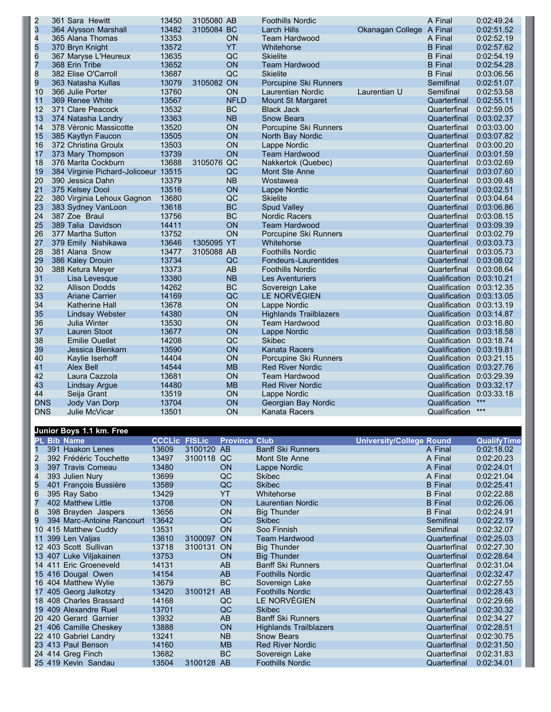| $\overline{2}$  | 361 Sara Hewitt                      | 13450 | 3105080 AB |             | <b>Foothills Nordic</b>       |                          | A Final                  | 0:02:49.24 |
|-----------------|--------------------------------------|-------|------------|-------------|-------------------------------|--------------------------|--------------------------|------------|
| 3               | 364 Alysson Marshall                 | 13482 | 3105084 BC |             | <b>Larch Hills</b>            | Okanagan College A Final |                          | 0:02:51.52 |
| 4               | 365 Alana Thomas                     | 13353 |            | <b>ON</b>   | <b>Team Hardwood</b>          |                          | A Final                  | 0:02:52.19 |
| 5               | 370 Bryn Knight                      | 13572 |            | YT          | Whitehorse                    |                          | <b>B</b> Final           | 0:02:57.62 |
| $\frac{6}{7}$   | 367 Maryse L'Heureux                 | 13635 |            | QC          | <b>Skielite</b>               |                          | <b>B</b> Final           | 0:02:54.19 |
|                 | 368 Erin Tribe                       | 13652 |            | ON          | <b>Team Hardwood</b>          |                          | <b>B</b> Final           | 0:02:54.28 |
| 8               | 382 Elise O'Carroll                  | 13687 |            | QC          | <b>Skielite</b>               |                          | <b>B</b> Final           | 0:03:06.56 |
| 9               | 363 Natasha Kullas                   | 13079 | 3105082 ON |             | Porcupine Ski Runners         |                          | Semifinal                | 0:02:51.07 |
| 10              | 366 Julie Porter                     | 13760 |            | <b>ON</b>   | Laurentian Nordic             | Laurentian U             | Semifinal                | 0:02:53.58 |
| 11              | 369 Renee White                      | 13567 |            | <b>NFLD</b> | <b>Mount St Margaret</b>      |                          | Quarterfinal             | 0:02:55.11 |
| 12              | 371 Clare Peacock                    | 13532 |            | <b>BC</b>   | <b>Black Jack</b>             |                          | Quarterfinal             | 0:02:59.05 |
| 13              | 374 Natasha Landry                   | 13363 |            | <b>NB</b>   | <b>Snow Bears</b>             |                          | Quarterfinal             | 0:03:02.37 |
| 14              | 378 Véronic Massicotte               | 13520 |            | ON          | Porcupine Ski Runners         |                          | Quarterfinal             | 0:03:03.00 |
| 15              | 385 Kaytlyn Faucon                   | 13505 |            | ON          | North Bay Nordic              |                          | Quarterfinal             | 0:03:07.82 |
| 16              | 372 Christina Groulx                 | 13503 |            | ON          | Lappe Nordic                  |                          | Quarterfinal             | 0:03:00.20 |
| 17              | 373 Mary Thompson                    | 13739 |            | ON          | <b>Team Hardwood</b>          |                          | Quarterfinal             | 0:03:01.59 |
| 18              | 376 Marita Cockburn                  | 13688 | 3105076 QC |             | Nakkertok (Quebec)            |                          | Quarterfinal             | 0:03:02.69 |
| 19              | 384 Virginie Pichard-Jolicoeur 13515 |       |            | QC          | Mont Ste Anne                 |                          | Quarterfinal             | 0:03:07.60 |
| 20              | 390 Jessica Dahn                     | 13379 |            | <b>NB</b>   | Wostawea                      |                          | Quarterfinal             | 0:03:09.48 |
| 21              | 375 Kelsey Dool                      | 13516 |            | ON          | Lappe Nordic                  |                          | Quarterfinal             | 0:03:02.51 |
| $\overline{22}$ | 380 Virginia Lehoux Gagnon           | 13680 |            | QC          | <b>Skielite</b>               |                          | Quarterfinal             | 0:03:04.64 |
| 23              | 383 Sydney VanLoon                   | 13618 |            | <b>BC</b>   | <b>Spud Valley</b>            |                          | Quarterfinal             | 0:03:06.86 |
| 24              | 387 Zoe Braul                        | 13756 |            | <b>BC</b>   | <b>Nordic Racers</b>          |                          | Quarterfinal             | 0:03:08.15 |
| 25              | 389 Talia Davidson                   | 14411 |            | ON          | <b>Team Hardwood</b>          |                          | Quarterfinal             | 0:03:09.39 |
| 26              | 377 Martha Sutton                    | 13752 |            | ON          | Porcupine Ski Runners         |                          | Quarterfinal             | 0:03:02.79 |
| 27              | 379 Emily Nishikawa                  | 13646 | 1305095 YT |             | Whitehorse                    |                          | Quarterfinal             | 0:03:03.73 |
| 28              | 381 Alana Snow                       | 13477 | 3105088 AB |             | <b>Foothills Nordic</b>       |                          | Quarterfinal             | 0:03:05.73 |
| 29              | 386 Kaley Drouin                     | 13734 |            | QC          | Fondeurs-Laurentides          |                          | Quarterfinal             | 0:03:08.02 |
| 30              | 388 Ketura Meyer                     | 13373 |            | AB          | <b>Foothills Nordic</b>       |                          | Quarterfinal             | 0:03:08.64 |
| 31              | Lisa Levesque                        | 13380 |            | <b>NB</b>   | Les Aventuriers               |                          | Qualification 0:03:10.21 |            |
| 32              | Allison Dodds                        | 14262 |            | <b>BC</b>   | Sovereign Lake                |                          | Qualification 0:03:12.35 |            |
| 33              | Ariane Carrier                       | 14169 |            | QC          | LE NORVÉGIEN                  |                          | Qualification 0:03:13.05 |            |
| 34              | <b>Katherine Hall</b>                | 13678 |            | ON          | Lappe Nordic                  |                          | Qualification 0:03:13.19 |            |
| 35              | <b>Lindsay Webster</b>               | 14380 |            | ON          | <b>Highlands Trailblazers</b> |                          | Qualification 0:03:14.87 |            |
| 36              | Julia Winter                         | 13530 |            | ON          | <b>Team Hardwood</b>          |                          | Qualification 0:03:16.80 |            |
| 37              | Lauren Stoot                         | 13677 |            | ON          | Lappe Nordic                  |                          | Qualification 0:03:18.58 |            |
| 38              | <b>Emilie Ouellet</b>                | 14208 |            | QC          | <b>Skibec</b>                 |                          | Qualification 0:03:18.74 |            |
| 39              | Jessica Blenkarn                     | 13590 |            | ON          | Kanata Racers                 |                          | Qualification 0:03:19.81 |            |
| 40              | Kaylie Iserhoff                      | 14404 |            | ON          | Porcupine Ski Runners         |                          | Qualification 0:03:21.15 |            |
| 41              | Alex Bell                            | 14544 |            | <b>MB</b>   | <b>Red River Nordic</b>       |                          | Qualification 0:03:27.76 |            |
| 42              | Laura Cazzola                        | 13681 |            | ON          | Team Hardwood                 |                          | Qualification 0:03:29.39 |            |
| 43              | Lindsay Argue                        | 14480 |            | <b>MB</b>   | <b>Red River Nordic</b>       |                          | Qualification 0:03:32.17 |            |
| 44              | Seija Grant                          | 13519 |            | ON          | Lappe Nordic                  |                          | Qualification 0:03:33.18 |            |
| <b>DNS</b>      | Jody Van Dorp                        | 13704 |            | ON          | Georgian Bay Nordic           |                          | Qualification            | ***        |
| <b>DNS</b>      | Julie McVicar                        | 13501 |            | ON          | Kanata Racers                 |                          | Qualification            | $***$      |
|                 |                                      |       |            |             |                               |                          |                          |            |

| <b>CCCLic FISLic</b><br><b>Province Club</b><br><b>PL Bib Name</b><br><b>University/College Round</b><br>3100120<br>391 Haakon Lenes<br>13609<br>AB<br><b>Banff Ski Runners</b><br>A Final<br>13497<br>3100118<br>2<br>392 Frédéric Touchette<br>QC<br>Mont Ste Anne<br>A Final<br>3<br>13480<br>397 Travis Comeau<br><b>ON</b><br>Lappe Nordic<br>A Final<br>QC<br>4<br>393 Julien Nury<br>13699<br><b>Skibec</b><br>A Final<br>5<br>401 François Bussière<br>13589<br>QC<br><b>Skibec</b><br><b>B</b> Final<br><b>YT</b><br>395 Ray Sabo<br>13429<br>6<br>Whitehorse<br><b>B</b> Final<br>402 Matthew Little<br>13708<br><b>ON</b><br>Laurentian Nordic<br><b>B</b> Final<br>13656<br>8<br>398 Brayden Jaspers<br><b>ON</b><br><b>Big Thunder</b><br><b>B</b> Final<br>9<br>394 Marc-Antoine Rancourt<br>13642<br>QC<br><b>Skibec</b><br>Semifinal<br>10 415 Matthew Cuddy<br>13531<br><b>ON</b><br>Soo Finnish<br>Semifinal<br>11 399 Len Valjas<br>13610<br>3100097<br><b>ON</b><br><b>Team Hardwood</b><br>Quarterfinal<br>12 403 Scott Sullivan<br>13718<br>3100131<br><b>ON</b><br><b>Big Thunder</b><br>Quarterfinal |                    |
|------------------------------------------------------------------------------------------------------------------------------------------------------------------------------------------------------------------------------------------------------------------------------------------------------------------------------------------------------------------------------------------------------------------------------------------------------------------------------------------------------------------------------------------------------------------------------------------------------------------------------------------------------------------------------------------------------------------------------------------------------------------------------------------------------------------------------------------------------------------------------------------------------------------------------------------------------------------------------------------------------------------------------------------------------------------------------------------------------------------------------|--------------------|
|                                                                                                                                                                                                                                                                                                                                                                                                                                                                                                                                                                                                                                                                                                                                                                                                                                                                                                                                                                                                                                                                                                                              | <b>QualifyTime</b> |
|                                                                                                                                                                                                                                                                                                                                                                                                                                                                                                                                                                                                                                                                                                                                                                                                                                                                                                                                                                                                                                                                                                                              | 0:02:18.02         |
|                                                                                                                                                                                                                                                                                                                                                                                                                                                                                                                                                                                                                                                                                                                                                                                                                                                                                                                                                                                                                                                                                                                              | 0:02:20.23         |
|                                                                                                                                                                                                                                                                                                                                                                                                                                                                                                                                                                                                                                                                                                                                                                                                                                                                                                                                                                                                                                                                                                                              | 0:02:24.01         |
|                                                                                                                                                                                                                                                                                                                                                                                                                                                                                                                                                                                                                                                                                                                                                                                                                                                                                                                                                                                                                                                                                                                              | 0:02:21.04         |
|                                                                                                                                                                                                                                                                                                                                                                                                                                                                                                                                                                                                                                                                                                                                                                                                                                                                                                                                                                                                                                                                                                                              | 0:02:25.41         |
|                                                                                                                                                                                                                                                                                                                                                                                                                                                                                                                                                                                                                                                                                                                                                                                                                                                                                                                                                                                                                                                                                                                              | 0:02:22.88         |
|                                                                                                                                                                                                                                                                                                                                                                                                                                                                                                                                                                                                                                                                                                                                                                                                                                                                                                                                                                                                                                                                                                                              | 0:02:26.06         |
|                                                                                                                                                                                                                                                                                                                                                                                                                                                                                                                                                                                                                                                                                                                                                                                                                                                                                                                                                                                                                                                                                                                              | 0:02:24.91         |
|                                                                                                                                                                                                                                                                                                                                                                                                                                                                                                                                                                                                                                                                                                                                                                                                                                                                                                                                                                                                                                                                                                                              | 0:02:22.19         |
|                                                                                                                                                                                                                                                                                                                                                                                                                                                                                                                                                                                                                                                                                                                                                                                                                                                                                                                                                                                                                                                                                                                              | 0:02:32.07         |
|                                                                                                                                                                                                                                                                                                                                                                                                                                                                                                                                                                                                                                                                                                                                                                                                                                                                                                                                                                                                                                                                                                                              | 0:02:25.03         |
|                                                                                                                                                                                                                                                                                                                                                                                                                                                                                                                                                                                                                                                                                                                                                                                                                                                                                                                                                                                                                                                                                                                              | 0:02:27.30         |
| 13 407 Luke Viljakainen<br>13753<br><b>ON</b><br><b>Big Thunder</b><br>Quarterfinal                                                                                                                                                                                                                                                                                                                                                                                                                                                                                                                                                                                                                                                                                                                                                                                                                                                                                                                                                                                                                                          | 0:02:28.64         |
| 14 411 Eric Groeneveld<br>14131<br><b>Banff Ski Runners</b><br>AB<br>Quarterfinal                                                                                                                                                                                                                                                                                                                                                                                                                                                                                                                                                                                                                                                                                                                                                                                                                                                                                                                                                                                                                                            | 0:02:31.04         |
| 15 416 Dougal Owen<br><b>Foothills Nordic</b><br>14154<br>AB<br>Quarterfinal                                                                                                                                                                                                                                                                                                                                                                                                                                                                                                                                                                                                                                                                                                                                                                                                                                                                                                                                                                                                                                                 | 0:02:32.47         |
| 16 404 Matthew Wylie<br><b>BC</b><br>13679<br>Sovereign Lake<br>Quarterfinal                                                                                                                                                                                                                                                                                                                                                                                                                                                                                                                                                                                                                                                                                                                                                                                                                                                                                                                                                                                                                                                 | 0:02:27.55         |
| 17 405 Georg Jalkotzy<br>13420<br>3100121<br>AB<br><b>Foothills Nordic</b><br>Quarterfinal                                                                                                                                                                                                                                                                                                                                                                                                                                                                                                                                                                                                                                                                                                                                                                                                                                                                                                                                                                                                                                   | 0:02:28.43         |
| LE NORVÉGIEN<br>18 408 Charles Brassard<br>14168<br>QC<br>Quarterfinal                                                                                                                                                                                                                                                                                                                                                                                                                                                                                                                                                                                                                                                                                                                                                                                                                                                                                                                                                                                                                                                       | 0:02:29.66         |
| 19 409 Alexandre Ruel<br>13701<br>QC<br><b>Skibec</b><br>Quarterfinal                                                                                                                                                                                                                                                                                                                                                                                                                                                                                                                                                                                                                                                                                                                                                                                                                                                                                                                                                                                                                                                        | 0:02:30.32         |
| 13932<br>AB<br><b>Banff Ski Runners</b><br>20 420 Gerard Garnier<br>Quarterfinal                                                                                                                                                                                                                                                                                                                                                                                                                                                                                                                                                                                                                                                                                                                                                                                                                                                                                                                                                                                                                                             | 0:02:34.27         |
| 13888<br>21 406 Camille Cheskey<br><b>ON</b><br><b>Highlands Trailblazers</b><br>Quarterfinal                                                                                                                                                                                                                                                                                                                                                                                                                                                                                                                                                                                                                                                                                                                                                                                                                                                                                                                                                                                                                                | 0:02:28.51         |
| 22 410 Gabriel Landry<br>13241<br>N <sub>B</sub><br>Snow Bears<br>Quarterfinal                                                                                                                                                                                                                                                                                                                                                                                                                                                                                                                                                                                                                                                                                                                                                                                                                                                                                                                                                                                                                                               | 0:02:30.75         |
| 23 413 Paul Benson<br>14160<br><b>MB</b><br><b>Red River Nordic</b><br>Quarterfinal                                                                                                                                                                                                                                                                                                                                                                                                                                                                                                                                                                                                                                                                                                                                                                                                                                                                                                                                                                                                                                          | 0:02:31.50         |
| 24 414 Greg Finch<br>BC<br>13682<br>Sovereign Lake<br>Quarterfinal                                                                                                                                                                                                                                                                                                                                                                                                                                                                                                                                                                                                                                                                                                                                                                                                                                                                                                                                                                                                                                                           | 0:02:31.83         |
| 13504<br>3100128<br>AB<br>25 419 Kevin Sandau<br><b>Foothills Nordic</b><br>Quarterfinal                                                                                                                                                                                                                                                                                                                                                                                                                                                                                                                                                                                                                                                                                                                                                                                                                                                                                                                                                                                                                                     | 0:02:34.01         |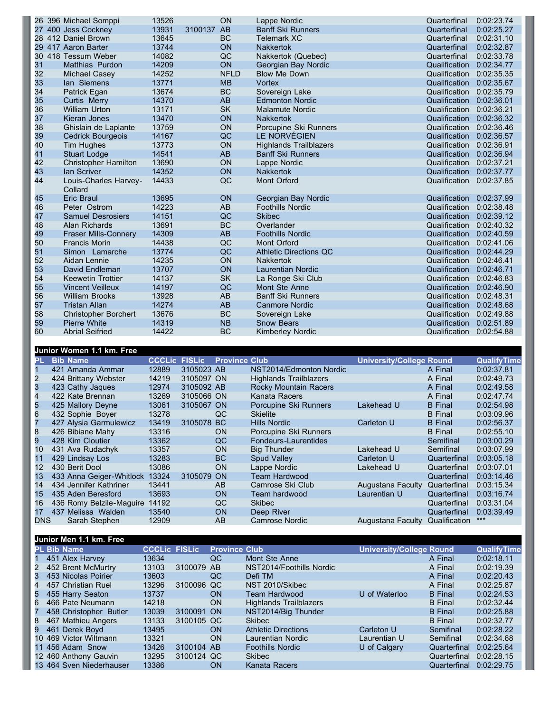| 13931<br><b>Banff Ski Runners</b><br>27 400 Jess Cockney<br>3100137 AB<br>Quarterfinal<br>28 412 Daniel Brown<br>13645<br><b>BC</b><br><b>Telemark XC</b><br>Quarterfinal<br>29 417 Aaron Barter<br>13744<br><b>ON</b><br><b>Nakkertok</b><br>Quarterfinal<br>QC<br>30 418 Tessum Weber<br>14082<br>Nakkertok (Quebec)<br>Quarterfinal<br>31<br>14209<br>ON<br>Georgian Bay Nordic<br><b>Matthias Purdon</b><br>Qualification<br>32<br><b>NFLD</b><br>14252<br><b>Blow Me Down</b><br>Michael Casey<br>Qualification<br>33<br>13771<br><b>MB</b><br>Vortex<br>lan Siemens<br>Qualification<br>34<br><b>BC</b><br>13674<br>Sovereign Lake<br>Patrick Egan<br>Qualification<br>35<br>14370<br>AB<br>Curtis Merry<br><b>Edmonton Nordic</b><br>Qualification<br><b>SK</b><br>36<br>13171<br><b>William Urton</b><br><b>Malamute Nordic</b><br>Qualification<br>37<br>13470<br><b>ON</b><br>Kieran Jones<br>Qualification<br><b>Nakkertok</b><br>38<br>ON<br>13759<br>Ghislain de Laplante<br>Porcupine Ski Runners<br>Qualification<br>39<br>QC<br>LE NORVÉGIEN<br>14167<br><b>Cedrick Bourgeois</b><br>Qualification<br>40<br>ON<br>13773<br><b>Highlands Trailblazers</b><br>Tim Hughes<br>Qualification<br>41<br>AB<br><b>Stuart Lodge</b><br>14541<br><b>Banff Ski Runners</b><br>Qualification<br>42<br>ON<br>13690<br>Qualification<br><b>Christopher Hamilton</b><br>Lappe Nordic<br>43<br>14352<br><b>ON</b><br><b>Nakkertok</b><br>Qualification<br>lan Scriver<br>44<br>QC<br>Louis-Charles Harvey-<br>14433<br>Mont Orford<br>Qualification<br>Collard<br>45<br>13695<br><b>ON</b><br>Georgian Bay Nordic<br>Qualification<br>Eric Braul<br>46<br>14223<br>AB<br><b>Foothills Nordic</b><br>Qualification<br>Peter Ostrom<br>QC<br>47<br>14151<br><b>Samuel Desrosiers</b><br><b>Skibec</b><br>Qualification<br>BC<br>48<br>13691<br>Alan Richards<br>Overlander<br>Qualification<br>AB<br>49<br>14309<br><b>Fraser Mills-Connery</b><br><b>Foothills Nordic</b><br>Qualification<br>QC<br>14438<br>50<br><b>Francis Morin</b><br><b>Mont Orford</b><br>Qualification<br>51<br>QC<br>13774<br>Simon Lamarche<br><b>Athletic Directions QC</b><br>Qualification<br>ON<br>52<br>14235<br>Aidan Lennie<br><b>Nakkertok</b><br>Qualification<br>53<br>13707<br>ON<br>David Endleman<br>Qualification<br>Laurentian Nordic<br>54<br>14137<br><b>SK</b><br><b>Keewetin Trottier</b><br>Qualification<br>La Ronge Ski Club<br>55<br>14197<br>QC<br><b>Vincent Veilleux</b><br>Mont Ste Anne<br>Qualification<br>56<br>AB<br>13928<br><b>Banff Ski Runners</b><br>Qualification<br><b>William Brooks</b><br>57<br>AB<br>14274<br><b>Tristan Allan</b><br><b>Canmore Nordic</b><br>Qualification<br>BC<br>58<br><b>Christopher Borchert</b><br>13676<br>Qualification<br>Sovereign Lake<br>59<br>14319<br><b>NB</b><br><b>Pierre White</b><br>Qualification<br><b>Snow Bears</b><br><b>BC</b><br>60<br><b>Abrial Seifried</b><br>14422<br><b>Kimberley Nordic</b><br>Qualification |  | 26 396 Michael Somppi | 13526 | <b>ON</b> | Lappe Nordic | Quarterfinal | 0:02:23.74 |
|-----------------------------------------------------------------------------------------------------------------------------------------------------------------------------------------------------------------------------------------------------------------------------------------------------------------------------------------------------------------------------------------------------------------------------------------------------------------------------------------------------------------------------------------------------------------------------------------------------------------------------------------------------------------------------------------------------------------------------------------------------------------------------------------------------------------------------------------------------------------------------------------------------------------------------------------------------------------------------------------------------------------------------------------------------------------------------------------------------------------------------------------------------------------------------------------------------------------------------------------------------------------------------------------------------------------------------------------------------------------------------------------------------------------------------------------------------------------------------------------------------------------------------------------------------------------------------------------------------------------------------------------------------------------------------------------------------------------------------------------------------------------------------------------------------------------------------------------------------------------------------------------------------------------------------------------------------------------------------------------------------------------------------------------------------------------------------------------------------------------------------------------------------------------------------------------------------------------------------------------------------------------------------------------------------------------------------------------------------------------------------------------------------------------------------------------------------------------------------------------------------------------------------------------------------------------------------------------------------------------------------------------------------------------------------------------------------------------------------------------------------------------------------------------------------------------------------------------------------------------------------------------------------------------------------------------------------------------------------------|--|-----------------------|-------|-----------|--------------|--------------|------------|
|                                                                                                                                                                                                                                                                                                                                                                                                                                                                                                                                                                                                                                                                                                                                                                                                                                                                                                                                                                                                                                                                                                                                                                                                                                                                                                                                                                                                                                                                                                                                                                                                                                                                                                                                                                                                                                                                                                                                                                                                                                                                                                                                                                                                                                                                                                                                                                                                                                                                                                                                                                                                                                                                                                                                                                                                                                                                                                                                                                                   |  |                       |       |           |              |              | 0:02:25.27 |
|                                                                                                                                                                                                                                                                                                                                                                                                                                                                                                                                                                                                                                                                                                                                                                                                                                                                                                                                                                                                                                                                                                                                                                                                                                                                                                                                                                                                                                                                                                                                                                                                                                                                                                                                                                                                                                                                                                                                                                                                                                                                                                                                                                                                                                                                                                                                                                                                                                                                                                                                                                                                                                                                                                                                                                                                                                                                                                                                                                                   |  |                       |       |           |              |              | 0:02:31.10 |
|                                                                                                                                                                                                                                                                                                                                                                                                                                                                                                                                                                                                                                                                                                                                                                                                                                                                                                                                                                                                                                                                                                                                                                                                                                                                                                                                                                                                                                                                                                                                                                                                                                                                                                                                                                                                                                                                                                                                                                                                                                                                                                                                                                                                                                                                                                                                                                                                                                                                                                                                                                                                                                                                                                                                                                                                                                                                                                                                                                                   |  |                       |       |           |              |              | 0:02:32.87 |
|                                                                                                                                                                                                                                                                                                                                                                                                                                                                                                                                                                                                                                                                                                                                                                                                                                                                                                                                                                                                                                                                                                                                                                                                                                                                                                                                                                                                                                                                                                                                                                                                                                                                                                                                                                                                                                                                                                                                                                                                                                                                                                                                                                                                                                                                                                                                                                                                                                                                                                                                                                                                                                                                                                                                                                                                                                                                                                                                                                                   |  |                       |       |           |              |              | 0:02:33.78 |
|                                                                                                                                                                                                                                                                                                                                                                                                                                                                                                                                                                                                                                                                                                                                                                                                                                                                                                                                                                                                                                                                                                                                                                                                                                                                                                                                                                                                                                                                                                                                                                                                                                                                                                                                                                                                                                                                                                                                                                                                                                                                                                                                                                                                                                                                                                                                                                                                                                                                                                                                                                                                                                                                                                                                                                                                                                                                                                                                                                                   |  |                       |       |           |              |              | 0:02:34.77 |
|                                                                                                                                                                                                                                                                                                                                                                                                                                                                                                                                                                                                                                                                                                                                                                                                                                                                                                                                                                                                                                                                                                                                                                                                                                                                                                                                                                                                                                                                                                                                                                                                                                                                                                                                                                                                                                                                                                                                                                                                                                                                                                                                                                                                                                                                                                                                                                                                                                                                                                                                                                                                                                                                                                                                                                                                                                                                                                                                                                                   |  |                       |       |           |              |              | 0:02:35.35 |
|                                                                                                                                                                                                                                                                                                                                                                                                                                                                                                                                                                                                                                                                                                                                                                                                                                                                                                                                                                                                                                                                                                                                                                                                                                                                                                                                                                                                                                                                                                                                                                                                                                                                                                                                                                                                                                                                                                                                                                                                                                                                                                                                                                                                                                                                                                                                                                                                                                                                                                                                                                                                                                                                                                                                                                                                                                                                                                                                                                                   |  |                       |       |           |              |              | 0:02:35.67 |
|                                                                                                                                                                                                                                                                                                                                                                                                                                                                                                                                                                                                                                                                                                                                                                                                                                                                                                                                                                                                                                                                                                                                                                                                                                                                                                                                                                                                                                                                                                                                                                                                                                                                                                                                                                                                                                                                                                                                                                                                                                                                                                                                                                                                                                                                                                                                                                                                                                                                                                                                                                                                                                                                                                                                                                                                                                                                                                                                                                                   |  |                       |       |           |              |              | 0:02:35.79 |
|                                                                                                                                                                                                                                                                                                                                                                                                                                                                                                                                                                                                                                                                                                                                                                                                                                                                                                                                                                                                                                                                                                                                                                                                                                                                                                                                                                                                                                                                                                                                                                                                                                                                                                                                                                                                                                                                                                                                                                                                                                                                                                                                                                                                                                                                                                                                                                                                                                                                                                                                                                                                                                                                                                                                                                                                                                                                                                                                                                                   |  |                       |       |           |              |              | 0:02:36.01 |
|                                                                                                                                                                                                                                                                                                                                                                                                                                                                                                                                                                                                                                                                                                                                                                                                                                                                                                                                                                                                                                                                                                                                                                                                                                                                                                                                                                                                                                                                                                                                                                                                                                                                                                                                                                                                                                                                                                                                                                                                                                                                                                                                                                                                                                                                                                                                                                                                                                                                                                                                                                                                                                                                                                                                                                                                                                                                                                                                                                                   |  |                       |       |           |              |              | 0:02:36.21 |
|                                                                                                                                                                                                                                                                                                                                                                                                                                                                                                                                                                                                                                                                                                                                                                                                                                                                                                                                                                                                                                                                                                                                                                                                                                                                                                                                                                                                                                                                                                                                                                                                                                                                                                                                                                                                                                                                                                                                                                                                                                                                                                                                                                                                                                                                                                                                                                                                                                                                                                                                                                                                                                                                                                                                                                                                                                                                                                                                                                                   |  |                       |       |           |              |              | 0:02:36.32 |
|                                                                                                                                                                                                                                                                                                                                                                                                                                                                                                                                                                                                                                                                                                                                                                                                                                                                                                                                                                                                                                                                                                                                                                                                                                                                                                                                                                                                                                                                                                                                                                                                                                                                                                                                                                                                                                                                                                                                                                                                                                                                                                                                                                                                                                                                                                                                                                                                                                                                                                                                                                                                                                                                                                                                                                                                                                                                                                                                                                                   |  |                       |       |           |              |              | 0:02:36.46 |
|                                                                                                                                                                                                                                                                                                                                                                                                                                                                                                                                                                                                                                                                                                                                                                                                                                                                                                                                                                                                                                                                                                                                                                                                                                                                                                                                                                                                                                                                                                                                                                                                                                                                                                                                                                                                                                                                                                                                                                                                                                                                                                                                                                                                                                                                                                                                                                                                                                                                                                                                                                                                                                                                                                                                                                                                                                                                                                                                                                                   |  |                       |       |           |              |              | 0:02:36.57 |
|                                                                                                                                                                                                                                                                                                                                                                                                                                                                                                                                                                                                                                                                                                                                                                                                                                                                                                                                                                                                                                                                                                                                                                                                                                                                                                                                                                                                                                                                                                                                                                                                                                                                                                                                                                                                                                                                                                                                                                                                                                                                                                                                                                                                                                                                                                                                                                                                                                                                                                                                                                                                                                                                                                                                                                                                                                                                                                                                                                                   |  |                       |       |           |              |              | 0:02:36.91 |
|                                                                                                                                                                                                                                                                                                                                                                                                                                                                                                                                                                                                                                                                                                                                                                                                                                                                                                                                                                                                                                                                                                                                                                                                                                                                                                                                                                                                                                                                                                                                                                                                                                                                                                                                                                                                                                                                                                                                                                                                                                                                                                                                                                                                                                                                                                                                                                                                                                                                                                                                                                                                                                                                                                                                                                                                                                                                                                                                                                                   |  |                       |       |           |              |              | 0:02:36.94 |
|                                                                                                                                                                                                                                                                                                                                                                                                                                                                                                                                                                                                                                                                                                                                                                                                                                                                                                                                                                                                                                                                                                                                                                                                                                                                                                                                                                                                                                                                                                                                                                                                                                                                                                                                                                                                                                                                                                                                                                                                                                                                                                                                                                                                                                                                                                                                                                                                                                                                                                                                                                                                                                                                                                                                                                                                                                                                                                                                                                                   |  |                       |       |           |              |              | 0:02:37.21 |
|                                                                                                                                                                                                                                                                                                                                                                                                                                                                                                                                                                                                                                                                                                                                                                                                                                                                                                                                                                                                                                                                                                                                                                                                                                                                                                                                                                                                                                                                                                                                                                                                                                                                                                                                                                                                                                                                                                                                                                                                                                                                                                                                                                                                                                                                                                                                                                                                                                                                                                                                                                                                                                                                                                                                                                                                                                                                                                                                                                                   |  |                       |       |           |              |              | 0:02:37.77 |
|                                                                                                                                                                                                                                                                                                                                                                                                                                                                                                                                                                                                                                                                                                                                                                                                                                                                                                                                                                                                                                                                                                                                                                                                                                                                                                                                                                                                                                                                                                                                                                                                                                                                                                                                                                                                                                                                                                                                                                                                                                                                                                                                                                                                                                                                                                                                                                                                                                                                                                                                                                                                                                                                                                                                                                                                                                                                                                                                                                                   |  |                       |       |           |              |              | 0:02:37.85 |
|                                                                                                                                                                                                                                                                                                                                                                                                                                                                                                                                                                                                                                                                                                                                                                                                                                                                                                                                                                                                                                                                                                                                                                                                                                                                                                                                                                                                                                                                                                                                                                                                                                                                                                                                                                                                                                                                                                                                                                                                                                                                                                                                                                                                                                                                                                                                                                                                                                                                                                                                                                                                                                                                                                                                                                                                                                                                                                                                                                                   |  |                       |       |           |              |              | 0:02:37.99 |
|                                                                                                                                                                                                                                                                                                                                                                                                                                                                                                                                                                                                                                                                                                                                                                                                                                                                                                                                                                                                                                                                                                                                                                                                                                                                                                                                                                                                                                                                                                                                                                                                                                                                                                                                                                                                                                                                                                                                                                                                                                                                                                                                                                                                                                                                                                                                                                                                                                                                                                                                                                                                                                                                                                                                                                                                                                                                                                                                                                                   |  |                       |       |           |              |              | 0:02:38.48 |
|                                                                                                                                                                                                                                                                                                                                                                                                                                                                                                                                                                                                                                                                                                                                                                                                                                                                                                                                                                                                                                                                                                                                                                                                                                                                                                                                                                                                                                                                                                                                                                                                                                                                                                                                                                                                                                                                                                                                                                                                                                                                                                                                                                                                                                                                                                                                                                                                                                                                                                                                                                                                                                                                                                                                                                                                                                                                                                                                                                                   |  |                       |       |           |              |              | 0:02:39.12 |
|                                                                                                                                                                                                                                                                                                                                                                                                                                                                                                                                                                                                                                                                                                                                                                                                                                                                                                                                                                                                                                                                                                                                                                                                                                                                                                                                                                                                                                                                                                                                                                                                                                                                                                                                                                                                                                                                                                                                                                                                                                                                                                                                                                                                                                                                                                                                                                                                                                                                                                                                                                                                                                                                                                                                                                                                                                                                                                                                                                                   |  |                       |       |           |              |              | 0:02:40.32 |
|                                                                                                                                                                                                                                                                                                                                                                                                                                                                                                                                                                                                                                                                                                                                                                                                                                                                                                                                                                                                                                                                                                                                                                                                                                                                                                                                                                                                                                                                                                                                                                                                                                                                                                                                                                                                                                                                                                                                                                                                                                                                                                                                                                                                                                                                                                                                                                                                                                                                                                                                                                                                                                                                                                                                                                                                                                                                                                                                                                                   |  |                       |       |           |              |              | 0:02:40.59 |
|                                                                                                                                                                                                                                                                                                                                                                                                                                                                                                                                                                                                                                                                                                                                                                                                                                                                                                                                                                                                                                                                                                                                                                                                                                                                                                                                                                                                                                                                                                                                                                                                                                                                                                                                                                                                                                                                                                                                                                                                                                                                                                                                                                                                                                                                                                                                                                                                                                                                                                                                                                                                                                                                                                                                                                                                                                                                                                                                                                                   |  |                       |       |           |              |              | 0:02:41.06 |
|                                                                                                                                                                                                                                                                                                                                                                                                                                                                                                                                                                                                                                                                                                                                                                                                                                                                                                                                                                                                                                                                                                                                                                                                                                                                                                                                                                                                                                                                                                                                                                                                                                                                                                                                                                                                                                                                                                                                                                                                                                                                                                                                                                                                                                                                                                                                                                                                                                                                                                                                                                                                                                                                                                                                                                                                                                                                                                                                                                                   |  |                       |       |           |              |              | 0:02:44.29 |
|                                                                                                                                                                                                                                                                                                                                                                                                                                                                                                                                                                                                                                                                                                                                                                                                                                                                                                                                                                                                                                                                                                                                                                                                                                                                                                                                                                                                                                                                                                                                                                                                                                                                                                                                                                                                                                                                                                                                                                                                                                                                                                                                                                                                                                                                                                                                                                                                                                                                                                                                                                                                                                                                                                                                                                                                                                                                                                                                                                                   |  |                       |       |           |              |              | 0:02:46.41 |
|                                                                                                                                                                                                                                                                                                                                                                                                                                                                                                                                                                                                                                                                                                                                                                                                                                                                                                                                                                                                                                                                                                                                                                                                                                                                                                                                                                                                                                                                                                                                                                                                                                                                                                                                                                                                                                                                                                                                                                                                                                                                                                                                                                                                                                                                                                                                                                                                                                                                                                                                                                                                                                                                                                                                                                                                                                                                                                                                                                                   |  |                       |       |           |              |              | 0:02:46.71 |
|                                                                                                                                                                                                                                                                                                                                                                                                                                                                                                                                                                                                                                                                                                                                                                                                                                                                                                                                                                                                                                                                                                                                                                                                                                                                                                                                                                                                                                                                                                                                                                                                                                                                                                                                                                                                                                                                                                                                                                                                                                                                                                                                                                                                                                                                                                                                                                                                                                                                                                                                                                                                                                                                                                                                                                                                                                                                                                                                                                                   |  |                       |       |           |              |              | 0:02:46.83 |
|                                                                                                                                                                                                                                                                                                                                                                                                                                                                                                                                                                                                                                                                                                                                                                                                                                                                                                                                                                                                                                                                                                                                                                                                                                                                                                                                                                                                                                                                                                                                                                                                                                                                                                                                                                                                                                                                                                                                                                                                                                                                                                                                                                                                                                                                                                                                                                                                                                                                                                                                                                                                                                                                                                                                                                                                                                                                                                                                                                                   |  |                       |       |           |              |              | 0:02:46.90 |
|                                                                                                                                                                                                                                                                                                                                                                                                                                                                                                                                                                                                                                                                                                                                                                                                                                                                                                                                                                                                                                                                                                                                                                                                                                                                                                                                                                                                                                                                                                                                                                                                                                                                                                                                                                                                                                                                                                                                                                                                                                                                                                                                                                                                                                                                                                                                                                                                                                                                                                                                                                                                                                                                                                                                                                                                                                                                                                                                                                                   |  |                       |       |           |              |              | 0:02:48.31 |
|                                                                                                                                                                                                                                                                                                                                                                                                                                                                                                                                                                                                                                                                                                                                                                                                                                                                                                                                                                                                                                                                                                                                                                                                                                                                                                                                                                                                                                                                                                                                                                                                                                                                                                                                                                                                                                                                                                                                                                                                                                                                                                                                                                                                                                                                                                                                                                                                                                                                                                                                                                                                                                                                                                                                                                                                                                                                                                                                                                                   |  |                       |       |           |              |              | 0:02:48.68 |
|                                                                                                                                                                                                                                                                                                                                                                                                                                                                                                                                                                                                                                                                                                                                                                                                                                                                                                                                                                                                                                                                                                                                                                                                                                                                                                                                                                                                                                                                                                                                                                                                                                                                                                                                                                                                                                                                                                                                                                                                                                                                                                                                                                                                                                                                                                                                                                                                                                                                                                                                                                                                                                                                                                                                                                                                                                                                                                                                                                                   |  |                       |       |           |              |              | 0:02:49.88 |
|                                                                                                                                                                                                                                                                                                                                                                                                                                                                                                                                                                                                                                                                                                                                                                                                                                                                                                                                                                                                                                                                                                                                                                                                                                                                                                                                                                                                                                                                                                                                                                                                                                                                                                                                                                                                                                                                                                                                                                                                                                                                                                                                                                                                                                                                                                                                                                                                                                                                                                                                                                                                                                                                                                                                                                                                                                                                                                                                                                                   |  |                       |       |           |              |              | 0:02:51.89 |
|                                                                                                                                                                                                                                                                                                                                                                                                                                                                                                                                                                                                                                                                                                                                                                                                                                                                                                                                                                                                                                                                                                                                                                                                                                                                                                                                                                                                                                                                                                                                                                                                                                                                                                                                                                                                                                                                                                                                                                                                                                                                                                                                                                                                                                                                                                                                                                                                                                                                                                                                                                                                                                                                                                                                                                                                                                                                                                                                                                                   |  |                       |       |           |              |              | 0:02:54.88 |

## **Junior Women 1.1 km. Free**

| PL         | <b>Bib Name</b>          | <b>CCCLic</b> | <b>FISLic</b> | <b>Province Club</b> |                               | <b>University/College Round</b> |                | <b>QualifyTime</b> |
|------------|--------------------------|---------------|---------------|----------------------|-------------------------------|---------------------------------|----------------|--------------------|
|            | 421 Amanda Ammar         | 12889         | 3105023 AB    |                      | NST2014/Edmonton Nordic       |                                 | A Final        | 0:02:37.81         |
|            | 424 Brittany Webster     | 14219         | 3105097 ON    |                      | <b>Highlands Trailblazers</b> |                                 | A Final        | 0:02:49.73         |
| 3          | 423 Cathy Jaques         | 12974         | 3105092 AB    |                      | Rocky Mountain Racers         |                                 | A Final        | 0:02:49.58         |
| 4          | 422 Kate Brennan         | 13269         | 3105066 ON    |                      | Kanata Racers                 |                                 | A Final        | 0:02:47.74         |
| 5          | 425 Mallory Deyne        | 13061         | 3105067 ON    |                      | Porcupine Ski Runners         | Lakehead U                      | <b>B</b> Final | 0:02:54.98         |
| 6          | 432 Sophie Boyer         | 13278         |               | QC                   | <b>Skielite</b>               |                                 | <b>B</b> Final | 0:03:09.96         |
|            | 427 Alysia Garmulewicz   | 13419         | 3105078 BC    |                      | Hills Nordic                  | Carleton U                      | <b>B</b> Final | 0:02:56.37         |
| 8          | 426 Bibiane Mahy         | 13316         |               | <b>ON</b>            | Porcupine Ski Runners         |                                 | <b>B</b> Final | 0:02:55.10         |
| 9          | 428 Kim Cloutier         | 13362         |               | QC.                  | Fondeurs-Laurentides          |                                 | Semifinal      | 0:03:00.29         |
| 10         | 431 Ava Rudachyk         | 13357         |               | <b>ON</b>            | <b>Big Thunder</b>            | Lakehead U                      | Semifinal      | 0:03:07.99         |
| 11         | 429 Lindsay Los          | 13283         |               | <b>BC</b>            | Spud Valley                   | Carleton U                      | Quarterfinal   | 0:03:05.18         |
| 12         | 430 Berit Dool           | 13086         |               | <b>ON</b>            | Lappe Nordic                  | Lakehead U                      | Quarterfinal   | 0:03:07.01         |
| 13         | 433 Anna Geiger-Whitlock | 13324         | 3105079 ON    |                      | <b>Team Hardwood</b>          |                                 | Quarterfinal   | 0:03:14.46         |
| 14         | 434 Jennifer Kathriner   | 13441         |               | AB.                  | Camrose Ski Club              | Augustana Faculty               | Quarterfinal   | 0:03:15.34         |
| 15         | 435 Aden Beresford       | 13693         |               | <b>ON</b>            | Team hardwood                 | Laurentian U                    | Quarterfinal   | 0:03:16.74         |
| 16         | 436 Romy Belzile-Maguire | 14192         |               | QC                   | <b>Skibec</b>                 |                                 | Quarterfinal   | 0:03:31.04         |
| 17         | 437 Melissa Walden       | 13540         |               | <b>ON</b>            | Deep River                    |                                 | Quarterfinal   | 0:03:39.49         |
| <b>DNS</b> | Sarah Stephen            | 12909         |               | AB                   | Camrose Nordic                | Augustana Faculty               | Qualification  | $***$              |

**Junior Men 1.1 km. Free**

|  | <b>PL Bib Name</b>       | <b>CCCLic FISLic</b> |            | <b>Province Club</b> |                               | <b>University/College Round</b> |                | <b>QualifyTime</b> |
|--|--------------------------|----------------------|------------|----------------------|-------------------------------|---------------------------------|----------------|--------------------|
|  | 1 451 Alex Harvey        | 13634                |            | QC                   | Mont Ste Anne                 |                                 | A Final        | 0:02:18.11         |
|  | 2 452 Brent McMurtry     | 13103                | 3100079 AB |                      | NST2014/Foothills Nordic      |                                 | A Final        | 0:02:19.39         |
|  | 3 453 Nicolas Poirier    | 13603                |            | QC                   | Defi TM                       |                                 | A Final        | 0:02:20.43         |
|  | 4 457 Christian Ruel     | 13296                | 3100096 QC |                      | NST 2010/Skibec               |                                 | A Final        | 0:02:25.87         |
|  | 5 455 Harry Seaton       | 13737                |            | <b>ON</b>            | Team Hardwood                 | U of Waterloo                   | <b>B</b> Final | 0:02:24.53         |
|  | 6 466 Pate Neumann       | 14218                |            | <b>ON</b>            | <b>Highlands Trailblazers</b> |                                 | <b>B</b> Final | 0:02:32.44         |
|  | 7 458 Christopher Butler | 13039                | 3100091 ON |                      | NST2014/Big Thunder           |                                 | <b>B</b> Final | 0:02:25.88         |
|  | 8 467 Mathieu Angers     | 13133                | 3100105 QC |                      | <b>Skibec</b>                 |                                 | <b>B</b> Final | 0:02:32.77         |
|  | 9 461 Derek Boyd         | 13495                |            | <b>ON</b>            | <b>Athletic Directions</b>    | Carleton U                      | Semifinal      | 0:02:28.22         |
|  | 10 469 Victor Wiltmann   | 13321                |            | ON                   | Laurentian Nordic             | Laurentian U                    | Semifinal      | 0:02:34.68         |
|  | 11 456 Adam Snow         | 13426                | 3100104 AB |                      | <b>Foothills Nordic</b>       | U of Calgary                    | Quarterfinal   | 0:02:25.64         |
|  | 12 460 Anthony Gauvin    | 13295                | 3100124 QC |                      | <b>Skibec</b>                 |                                 | Quarterfinal   | 0:02:28.15         |
|  | 13 464 Sven Niederhauser | 13386                |            | <b>ON</b>            | <b>Kanata Racers</b>          |                                 | Quarterfinal   | 0:02:29.75         |
|  |                          |                      |            |                      |                               |                                 |                |                    |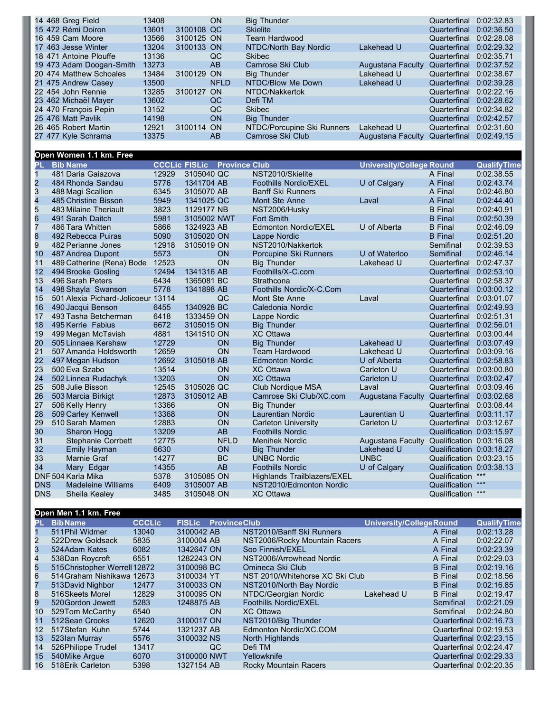| 14 468 Greg Field        | 13408 |            | <b>ON</b>   | <b>Big Thunder</b>         |                   | Quarterfinal 0:02:32.83 |  |
|--------------------------|-------|------------|-------------|----------------------------|-------------------|-------------------------|--|
| 15 472 Rémi Doiron       | 13601 | 3100108 QC |             | <b>Skielite</b>            |                   | Quarterfinal 0:02:36.50 |  |
| 16 459 Cam Moore         | 13566 | 3100125 ON |             | Team Hardwood              |                   | Quarterfinal 0:02:28.08 |  |
| 17 463 Jesse Winter      | 13204 | 3100133 ON |             | NTDC/North Bay Nordic      | Lakehead U        | Quarterfinal 0:02:29.32 |  |
| 18 471 Antoine Plouffe   | 13136 |            | QC          | <b>Skibec</b>              |                   | Quarterfinal 0:02:35.71 |  |
| 19 473 Adam Doogan-Smith | 13273 |            | AB.         | Camrose Ski Club           | Augustana Faculty | Quarterfinal 0:02:37.52 |  |
| 20 474 Matthew Schoales  | 13484 | 3100129 ON |             | <b>Big Thunder</b>         | Lakehead U        | Quarterfinal 0:02:38.67 |  |
| 21 475 Andrew Casey      | 13500 |            | <b>NFLD</b> | NTDC/Blow Me Down          | Lakehead U        | Quarterfinal 0:02:39.28 |  |
| 22 454 John Rennie       | 13285 | 3100127 ON |             | NTDC/Nakkertok             |                   | Quarterfinal 0:02:22.16 |  |
| 23 462 Michaël Mayer     | 13602 |            | QC          | Defi TM                    |                   | Quarterfinal 0:02:28.62 |  |
| 24 470 Francois Pepin    | 13152 |            | QC          | <b>Skibec</b>              |                   | Quarterfinal 0:02:34.82 |  |
| 25 476 Matt Pavlik       | 14198 |            | <b>ON</b>   | <b>Big Thunder</b>         |                   | Quarterfinal 0:02:42.57 |  |
| 26 465 Robert Martin     | 12921 | 3100114 ON |             | NTDC/Porcupine Ski Runners | Lakehead U        | Quarterfinal 0:02:31.60 |  |
| 27 477 Kyle Schrama      | 13375 |            | AB          | Camrose Ski Club           | Augustana Faculty | Quarterfinal 0:02:49.15 |  |

## **Open Women 1.1 km. Free**

| NST2010/Skielite<br>$\mathbf{1}$<br>481 Daria Gaiazova<br>12929<br>3105040 QC<br>A Final<br>$\overline{\mathbf{c}}$<br>5776<br>1341704 AB<br><b>Foothills Nordic/EXEL</b><br>U of Calgary<br>A Final<br>484 Rhonda Sandau<br>3<br>6345<br>488 Magi Scallion<br>3105070 AB<br><b>Banff Ski Runners</b><br>A Final | 0:02:38.55<br>0:02:43.74<br>0:02:46.80<br>0:02:44.40<br>0:02:40.91 |
|------------------------------------------------------------------------------------------------------------------------------------------------------------------------------------------------------------------------------------------------------------------------------------------------------------------|--------------------------------------------------------------------|
|                                                                                                                                                                                                                                                                                                                  |                                                                    |
|                                                                                                                                                                                                                                                                                                                  |                                                                    |
|                                                                                                                                                                                                                                                                                                                  |                                                                    |
| 4<br>485 Christine Bisson<br>5949<br>1341025 QC<br>Mont Ste Anne<br>A Final<br>Laval                                                                                                                                                                                                                             |                                                                    |
| 5<br>3823<br>1129177 NB<br>483 Milaine Theriault<br>NST2006/Husky<br><b>B</b> Final                                                                                                                                                                                                                              |                                                                    |
| 6<br>5981<br>3105002 NWT<br><b>Fort Smith</b><br><b>B</b> Final<br>491 Sarah Daitch                                                                                                                                                                                                                              | 0:02:50.39                                                         |
| $\overline{7}$<br>5866<br>1324923 AB<br>U of Alberta<br>486 Tara Whitten<br><b>Edmonton Nordic/EXEL</b><br><b>B</b> Final                                                                                                                                                                                        | 0:02:46.09                                                         |
| 8<br>5090<br>3105020 ON<br><b>B</b> Final<br>492 Rebecca Puiras<br>Lappe Nordic                                                                                                                                                                                                                                  | 0:02:51.20                                                         |
| $\overline{9}$<br>12918<br>3105019 ON<br>NST2010/Nakkertok<br>482 Perianne Jones<br>Semifinal                                                                                                                                                                                                                    | 0:02:39.53                                                         |
| 5573<br>ON<br>10<br>Porcupine Ski Runners<br>U of Waterloo<br>487 Andrea Dupont<br>Semifinal                                                                                                                                                                                                                     | 0:02:46.14                                                         |
| ON<br>12523<br>11<br>489 Catherine (Rena) Bode<br><b>Big Thunder</b><br>Lakehead U<br>Quarterfinal                                                                                                                                                                                                               | 0:02:47.37                                                         |
| 12<br>12494<br>1341316 AB<br>Foothills/X-C.com<br>494 Brooke Gosling<br>Quarterfinal                                                                                                                                                                                                                             | 0:02:53.10                                                         |
| 13<br>496 Sarah Peters<br>6434<br>1365081 BC<br>Strathcona<br>Quarterfinal                                                                                                                                                                                                                                       | 0:02:58.37                                                         |
| 5778<br>Foothills Nordic/X-C.Com<br>14<br>498 Shayla Swanson<br>1341898 AB<br>Quarterfinal                                                                                                                                                                                                                       | 0:03:00.12                                                         |
| 15<br>13114<br>501 Alexia Pichard-Jolicoeur<br>QC<br>Mont Ste Anne<br>Laval<br>Quarterfinal                                                                                                                                                                                                                      | 0:03:01.07                                                         |
| 6455<br>1340928 BC<br>16<br>490 Jacqui Benson<br>Quarterfinal<br>Caledonia Nordic                                                                                                                                                                                                                                | 0:02:49.93                                                         |
| 17<br>6418<br>493 Tasha Betcherman<br>1333459 ON<br>Lappe Nordic<br>Quarterfinal                                                                                                                                                                                                                                 | 0:02:51.31                                                         |
| 6672<br>18<br>3105015 ON<br><b>Big Thunder</b><br>495 Kerrie Fabius<br>Quarterfinal                                                                                                                                                                                                                              | 0:02:56.01                                                         |
| 19<br>4881<br>499 Megan McTavish<br>1341510 ON<br><b>XC Ottawa</b><br>Quarterfinal                                                                                                                                                                                                                               | 0:03:00.44                                                         |
| 12729<br>20<br>ON<br>Lakehead U<br>505 Linnaea Kershaw<br><b>Big Thunder</b><br>Quarterfinal                                                                                                                                                                                                                     | 0:03:07.49                                                         |
| 21<br>12659<br>ON<br><b>Team Hardwood</b><br>Lakehead U<br>507 Amanda Holdsworth<br>Quarterfinal                                                                                                                                                                                                                 | 0:03:09.16                                                         |
| 22<br>12692<br>497 Megan Hudson<br>3105018 AB<br>U of Alberta<br><b>Edmonton Nordic</b><br>Quarterfinal                                                                                                                                                                                                          | 0:02:58.83                                                         |
| 23<br>13514<br>ON<br>500 Eva Szabo<br><b>XC Ottawa</b><br>Carleton U<br>Quarterfinal                                                                                                                                                                                                                             | 0:03:00.80                                                         |
| ON<br>24<br>13203<br><b>XC Ottawa</b><br>502 Linnea Rudachyk<br>Carleton U<br>Quarterfinal                                                                                                                                                                                                                       | 0:03:02.47                                                         |
| 25<br>3105026 QC<br>12545<br>Club Nordique MSA<br>508 Julie Bisson<br>Laval<br>Quarterfinal                                                                                                                                                                                                                      | 0:03:09.46                                                         |
| 12873<br>3105012 AB<br>26<br>503 Marcia Birkigt<br>Camrose Ski Club/XC.com<br>Augustana Faculty<br>Quarterfinal                                                                                                                                                                                                  | 0:03:02.68                                                         |
| 27<br>13366<br>506 Kelly Henry<br>ON<br><b>Big Thunder</b><br>Quarterfinal                                                                                                                                                                                                                                       | 0:03:08.44                                                         |
| ON<br>28<br>509 Carley Kenwell<br>13368<br>Laurentian U<br><b>Laurentian Nordic</b><br>Quarterfinal                                                                                                                                                                                                              | 0:03:11.17                                                         |
| ON<br>29<br>12883<br>510 Sarah Mamen<br><b>Carleton University</b><br>Carleton U<br>Quarterfinal                                                                                                                                                                                                                 | 0:03:12.67                                                         |
| 30<br>13209<br>AB<br>Sharon Hogg<br><b>Foothills Nordic</b>                                                                                                                                                                                                                                                      | Qualification 0:03:15.97                                           |
| 31<br>12775<br><b>NFLD</b><br><b>Stephanie Corrbett</b><br>Augustana Faculty<br><b>Menihek Nordic</b>                                                                                                                                                                                                            | Qualification 0:03:16.08                                           |
| 32<br>6630<br>ON<br>Lakehead U<br>Emily Hayman<br><b>Big Thunder</b>                                                                                                                                                                                                                                             | Qualification 0:03:18.27                                           |
| 33<br>BC<br>14277<br><b>UNBC Nordic</b><br><b>UNBC</b><br>Marnie Graf                                                                                                                                                                                                                                            | Qualification 0:03:23.15                                           |
| 34<br>14355<br>AB<br>U of Calgary<br>Mary Edgar<br><b>Foothills Nordic</b>                                                                                                                                                                                                                                       | Qualification 0:03:38.13                                           |
| DNF 504 Karla Mika<br>3105085 ON<br>5378<br>Highlands Trailblazers/EXEL<br>Qualification                                                                                                                                                                                                                         | $***$                                                              |
| <b>DNS</b><br><b>Madeleine Williams</b><br>6409<br>3105007 AB<br>NST2010/Edmonton Nordic<br>Qualification                                                                                                                                                                                                        | $***$                                                              |
| <b>DNS</b><br>3485<br><b>XC Ottawa</b><br>Sheila Kealey<br>3105048 ON<br>Qualification                                                                                                                                                                                                                           | $***$                                                              |

## **Open Men 1.1 km. Free**

| PL. | <b>BibName</b>                | <b>CCCLic</b> | <b>FISLic</b> | <b>Province Club</b> |                                 | <b>University/CollegeRound</b> |                         | <b>QualifyTime</b> |
|-----|-------------------------------|---------------|---------------|----------------------|---------------------------------|--------------------------------|-------------------------|--------------------|
|     | 511 Phil Widmer               | 13040         | 3100042 AB    |                      | NST2010/Banff Ski Runners       |                                | A Final                 | 0:02:13.28         |
|     | 522 Drew Goldsack             | 5835          | 3100004 AB    |                      | NST2006/Rocky Mountain Racers   |                                | A Final                 | 0:02:22.07         |
| З   | 524 Adam Kates                | 6082          | 1342647 ON    |                      | Soo Finnish/EXEL                |                                | A Final                 | 0:02:23.39         |
| 4   | 538Dan Roycroft               | 6551          | 1282243 ON    |                      | NST2006/Arrowhead Nordic        |                                | A Final                 | 0:02:29.03         |
| 5.  | 515 Christopher Werrell 12872 |               | 3100098 BC    |                      | Omineca Ski Club                |                                | <b>B</b> Final          | 0:02:19.16         |
| 6   | 514 Graham Nishikawa 12673    |               | 3100034 YT    |                      | NST 2010/Whitehorse XC Ski Club |                                | <b>B</b> Final          | 0:02:18.56         |
|     | 513David Nighbor              | 12477         | 3100033 ON    |                      | NST2010/North Bay Nordic        |                                | <b>B</b> Final          | 0:02:16.85         |
| 8   | 516Skeets Morel               | 12829         | 3100095 ON    |                      | NTDC/Georgian Nordic            | Lakehead U                     | <b>B</b> Final          | 0:02:19.47         |
| 9   | 520 Gordon Jewett             | 5283          | 1248875 AB    |                      | <b>Foothills Nordic/EXEL</b>    |                                | Semifinal               | 0:02:21.09         |
| 10  | 529Tom McCarthy               | 6540          |               | <b>ON</b>            | <b>XC Ottawa</b>                |                                | Semifinal               | 0:02:24.80         |
| 11  | 512 Sean Crooks               | 12620         | 3100017 ON    |                      | NST2010/Big Thunder             |                                | Quarterfinal 0:02:16.73 |                    |
| 12  | 517 Stefan Kuhn               | 5744          | 1321237 AB    |                      | Edmonton Nordic/XC.COM          |                                | Quarterfinal 0:02:19.53 |                    |
| 13  | 523Ian Murray                 | 5576          | 3100032 NS    |                      | North Highlands                 |                                | Quarterfinal 0:02:23.15 |                    |
| 14  | 526 Philippe Trudel           | 13417         |               | QC                   | Defi TM                         |                                | Quarterfinal 0:02:24.47 |                    |
| 15  | 540 Mike Arque                | 6070          | 3100000 NWT   |                      | Yellowknife                     |                                | Quarterfinal 0:02:29.33 |                    |
| 16  | 518 Erik Carleton             | 5398          | 1327154 AB    |                      | <b>Rocky Mountain Racers</b>    |                                | Quarterfinal 0:02:20.35 |                    |